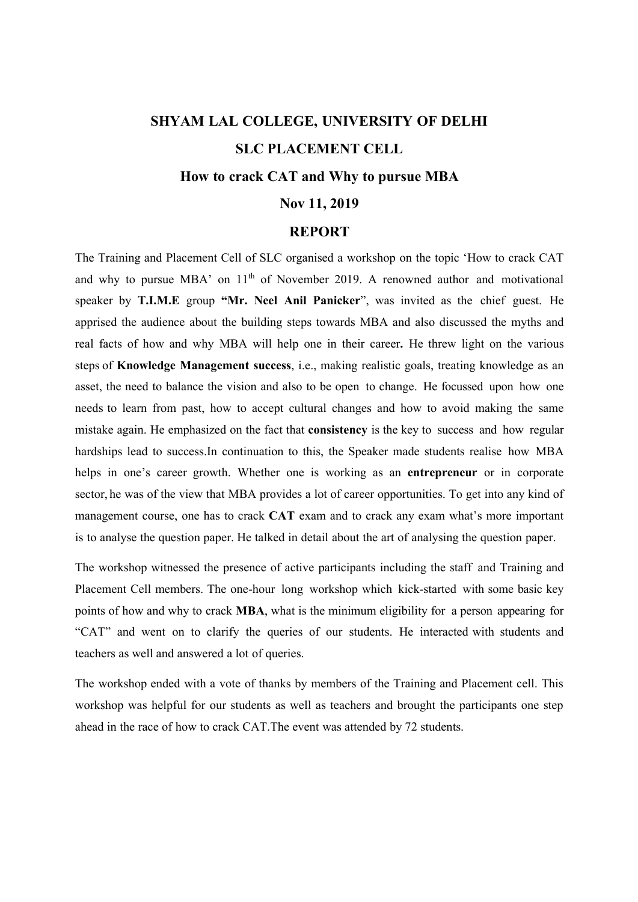## **SHYAM LAL COLLEGE, UNIVERSITY OF DELHI SLC PLACEMENT CELL How to crack CAT and Why to pursue MBA**

## **Nov 11, 2019**

## **REPORT**

The Training and Placement Cell of SLC organised a workshop on the topic 'How to crack CAT and why to pursue MBA' on  $11<sup>th</sup>$  of November 2019. A renowned author and motivational speaker by **T.I.M.E** group **"Mr. Neel Anil Panicker**", was invited as the chief guest. He apprised the audience about the building steps towards MBA and also discussed the myths and real facts of how and why MBA will help one in their career**.** He threw light on the various steps of **Knowledge Management success**, i.e., making realistic goals, treating knowledge as an asset, the need to balance the vision and also to be open to change. He focussed upon how one needs to learn from past, how to accept cultural changes and how to avoid making the same mistake again. He emphasized on the fact that **consistency** is the key to success and how regular hardships lead to success.In continuation to this, the Speaker made students realise how MBA helps in one's career growth. Whether one is working as an **entrepreneur** or in corporate sector, he was of the view that MBA provides a lot of career opportunities. To get into any kind of management course, one has to crack **CAT** exam and to crack any exam what's more important is to analyse the question paper. He talked in detail about the art of analysing the question paper.

The workshop witnessed the presence of active participants including the staff and Training and Placement Cell members. The one-hour long workshop which kick-started with some basic key points of how and why to crack **MBA**, what is the minimum eligibility for a person appearing for "CAT" and went on to clarify the queries of our students. He interacted with students and teachers as well and answered a lot of queries.

The workshop ended with a vote of thanks by members of the Training and Placement cell. This workshop was helpful for our students as well as teachers and brought the participants one step ahead in the race of how to crack CAT.The event was attended by 72 students.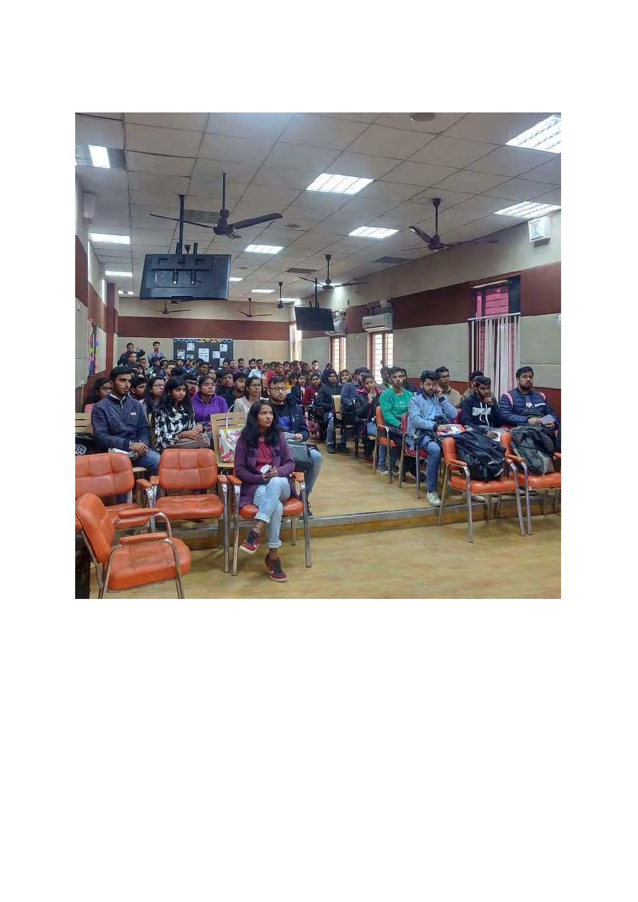